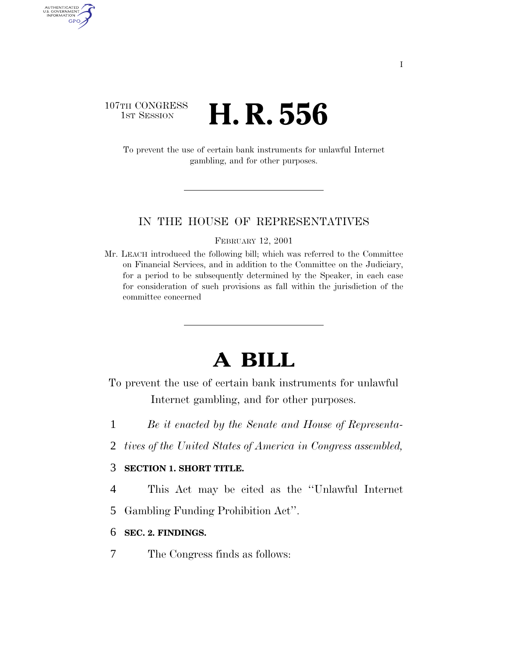## 107TH CONGRESS **1st Session H. R. 556**

AUTHENTICATED<br>U.S. GOVERNMENT<br>INFORMATION GPO

> To prevent the use of certain bank instruments for unlawful Internet gambling, and for other purposes.

#### IN THE HOUSE OF REPRESENTATIVES

FEBRUARY 12, 2001

Mr. LEACH introduced the following bill; which was referred to the Committee on Financial Services, and in addition to the Committee on the Judiciary, for a period to be subsequently determined by the Speaker, in each case for consideration of such provisions as fall within the jurisdiction of the committee concerned

# **A BILL**

- To prevent the use of certain bank instruments for unlawful Internet gambling, and for other purposes.
- 1 *Be it enacted by the Senate and House of Representa-*
- 2 *tives of the United States of America in Congress assembled,*

### 3 **SECTION 1. SHORT TITLE.**

4 This Act may be cited as the ''Unlawful Internet

5 Gambling Funding Prohibition Act''.

#### 6 **SEC. 2. FINDINGS.**

7 The Congress finds as follows: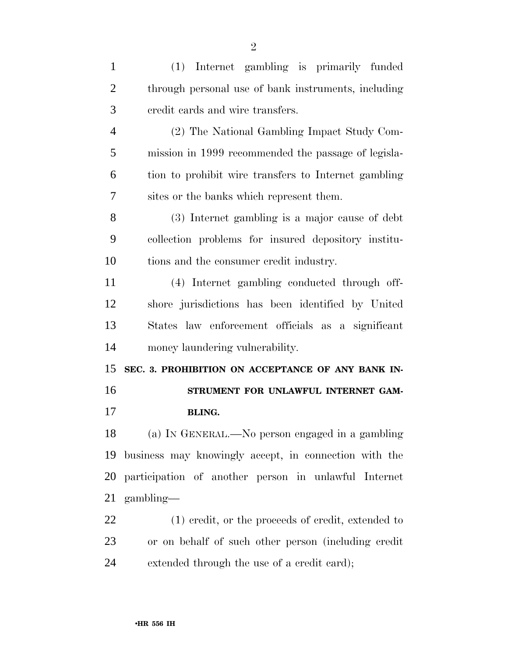| $\mathbf{1}$   | (1) Internet gambling is primarily funded             |
|----------------|-------------------------------------------------------|
| $\overline{2}$ | through personal use of bank instruments, including   |
| 3              | credit cards and wire transfers.                      |
| $\overline{4}$ | (2) The National Gambling Impact Study Com-           |
| 5              | mission in 1999 recommended the passage of legisla-   |
| 6              | tion to prohibit wire transfers to Internet gambling  |
| 7              | sites or the banks which represent them.              |
| 8              | (3) Internet gambling is a major cause of debt        |
| 9              | collection problems for insured depository institu-   |
| 10             | tions and the consumer credit industry.               |
| 11             | (4) Internet gambling conducted through off-          |
| 12             | shore jurisdictions has been identified by United     |
| 13             | States law enforcement officials as a significant     |
| 14             | money laundering vulnerability.                       |
| 15             | SEC. 3. PROHIBITION ON ACCEPTANCE OF ANY BANK IN-     |
| 16             | STRUMENT FOR UNLAWFUL INTERNET GAM-                   |
| 17             | <b>BLING.</b>                                         |
| 18             | (a) IN GENERAL.—No person engaged in a gambling       |
| 19             | business may knowingly accept, in connection with the |
| 20             | participation of another person in unlawful Internet  |
| 21             | $\gamma$ gambling—                                    |
| 22             | (1) credit, or the proceeds of credit, extended to    |
| 23             | or on behalf of such other person (including credit   |
| 24             | extended through the use of a credit card);           |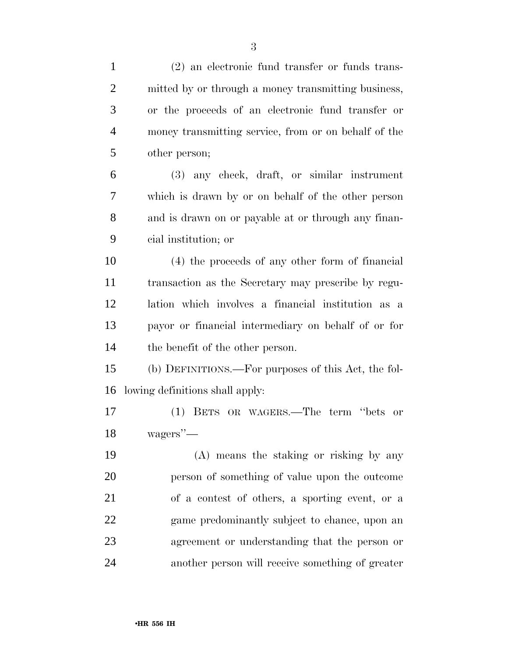| $\mathbf{1}$   | $(2)$ an electronic fund transfer or funds trans-    |
|----------------|------------------------------------------------------|
| $\overline{2}$ | mitted by or through a money transmitting business,  |
| 3              | or the proceeds of an electronic fund transfer or    |
| $\overline{4}$ | money transmitting service, from or on behalf of the |
| 5              | other person;                                        |
| 6              | (3) any check, draft, or similar instrument          |
| 7              | which is drawn by or on behalf of the other person   |
| 8              | and is drawn on or payable at or through any finan-  |
| 9              | cial institution; or                                 |
| 10             | (4) the proceeds of any other form of financial      |
| 11             | transaction as the Secretary may prescribe by regu-  |
| 12             | lation which involves a financial institution as a   |
| 13             | payor or financial intermediary on behalf of or for  |
| 14             | the benefit of the other person.                     |
| 15             | (b) DEFINITIONS.—For purposes of this Act, the fol-  |
| 16             | lowing definitions shall apply:                      |
| 17             | (1) BETS OR WAGERS.—The term "bets or                |
| 18             | wagers''—                                            |
| 19             | (A) means the staking or risking by any              |
| 20             | person of something of value upon the outcome        |
| 21             | of a contest of others, a sporting event, or a       |
| 22             | game predominantly subject to chance, upon an        |
| 23             | agreement or understanding that the person or        |
| 24             | another person will receive something of greater     |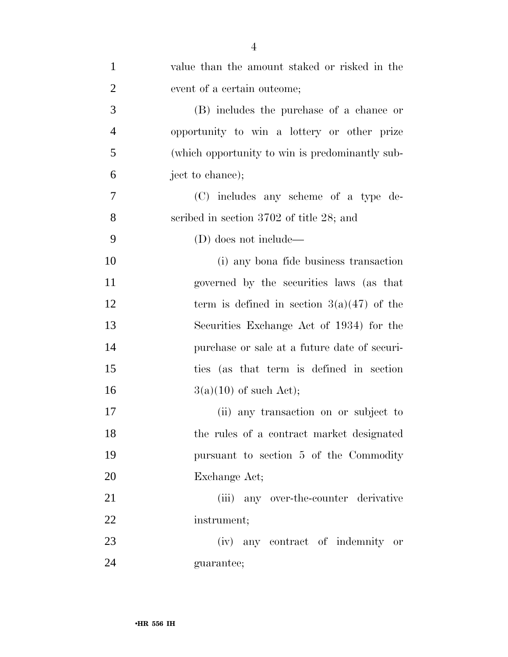| $\mathbf{1}$   | value than the amount staked or risked in the   |
|----------------|-------------------------------------------------|
| $\overline{2}$ | event of a certain outcome;                     |
| 3              | (B) includes the purchase of a chance or        |
| $\overline{4}$ | opportunity to win a lottery or other prize     |
| 5              | (which opportunity to win is predominantly sub- |
| 6              | ject to chance);                                |
| 7              | (C) includes any scheme of a type de-           |
| 8              | scribed in section $3702$ of title 28; and      |
| 9              | (D) does not include—                           |
| 10             | (i) any bona fide business transaction          |
| 11             | governed by the securities laws (as that        |
| 12             | term is defined in section $3(a)(47)$ of the    |
| 13             | Securities Exchange Act of 1934) for the        |
| 14             | purchase or sale at a future date of securi-    |
| 15             | ties (as that term is defined in section        |
| 16             | $3(a)(10)$ of such Act);                        |
| 17             | (ii) any transaction on or subject to           |
| 18             | the rules of a contract market designated       |
| 19             | pursuant to section 5 of the Commodity          |
| 20             | Exchange Act;                                   |
| 21             | (iii) any over-the-counter derivative           |
| 22             | instrument;                                     |
| 23             | (iv) any contract of indemnity or               |
| 24             | guarantee;                                      |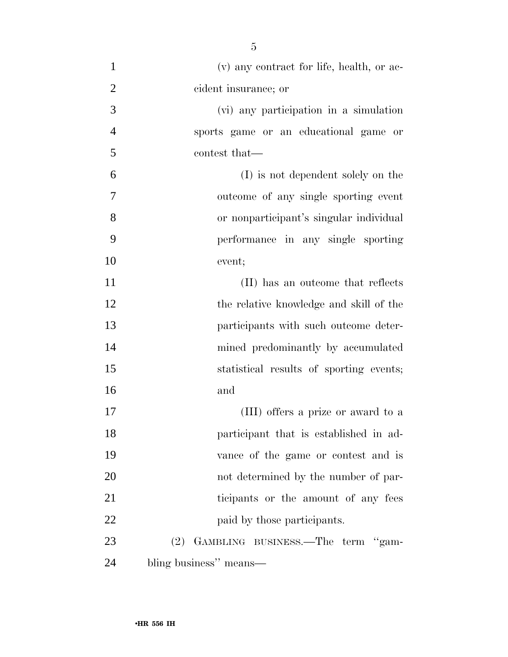(v) any contract for life, health, or ac- cident insurance; or (vi) any participation in a simulation sports game or an educational game or contest that— (I) is not dependent solely on the outcome of any single sporting event or nonparticipant's singular individual performance in any single sporting event; 11 (II) has an outcome that reflects the relative knowledge and skill of the participants with such outcome deter- mined predominantly by accumulated statistical results of sporting events; and (III) offers a prize or award to a participant that is established in ad- vance of the game or contest and is not determined by the number of par-21 ticipants or the amount of any fees 22 paid by those participants. (2) GAMBLING BUSINESS.—The term ''gam-bling business'' means—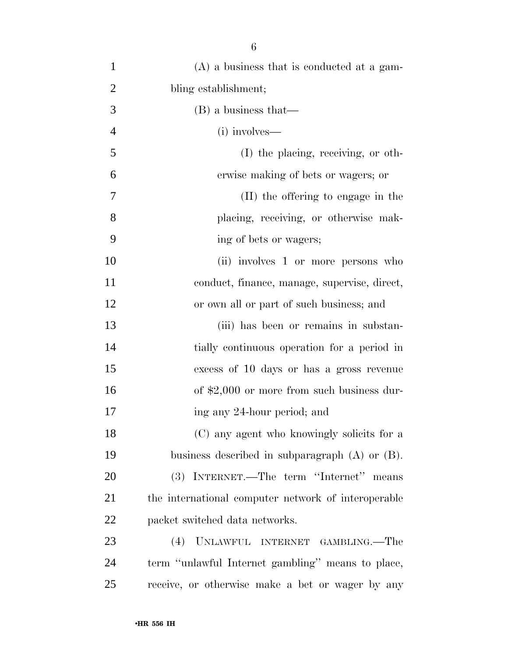| $\mathbf{1}$   | $(A)$ a business that is conducted at a gam-        |
|----------------|-----------------------------------------------------|
| $\overline{2}$ | bling establishment;                                |
| 3              | (B) a business that—                                |
| $\overline{4}$ | (i) involves—                                       |
| 5              | (I) the placing, receiving, or oth-                 |
| 6              | erwise making of bets or wagers; or                 |
| 7              | (II) the offering to engage in the                  |
| 8              | placing, receiving, or otherwise mak-               |
| 9              | ing of bets or wagers;                              |
| 10             | (ii) involves 1 or more persons who                 |
| 11             | conduct, finance, manage, supervise, direct,        |
| 12             | or own all or part of such business; and            |
| 13             | (iii) has been or remains in substan-               |
| 14             | tially continuous operation for a period in         |
| 15             | excess of 10 days or has a gross revenue            |
| 16             | of $$2,000$ or more from such business dur-         |
| 17             | ing any 24-hour period; and                         |
| 18             | (C) any agent who knowingly solicits for a          |
| 19             | business described in subparagraph $(A)$ or $(B)$ . |
| 20             | (3) INTERNET.—The term "Internet" means             |
| 21             | the international computer network of interoperable |
| 22             | packet switched data networks.                      |
| 23             | (4) UNLAWFUL INTERNET GAMBLING.—The                 |
| 24             | term "unlawful Internet gambling" means to place,   |
| 25             | receive, or otherwise make a bet or wager by any    |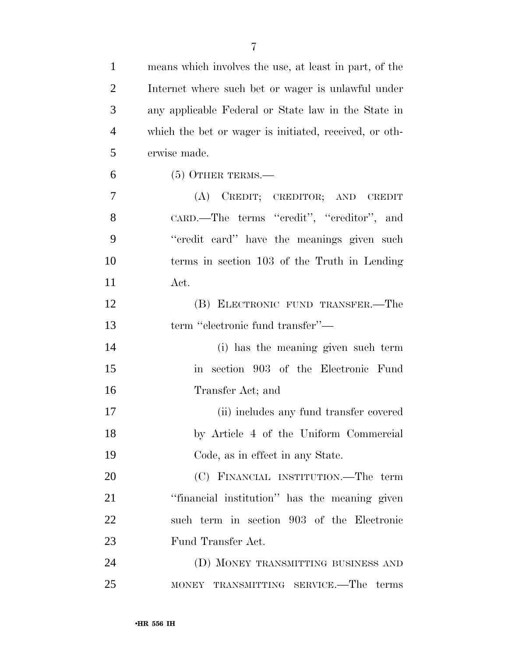| $\mathbf{1}$   | means which involves the use, at least in part, of the    |
|----------------|-----------------------------------------------------------|
| $\overline{2}$ | Internet where such bet or wager is unlawful under        |
| 3              | any applicable Federal or State law in the State in       |
| $\overline{4}$ | which the bet or wager is initiated, received, or oth-    |
| 5              | erwise made.                                              |
| 6              | $(5)$ OTHER TERMS.—                                       |
| 7              | (A) CREDIT; CREDITOR; AND CREDIT                          |
| 8              | CARD.—The terms "credit", "creditor", and                 |
| 9              | "credit card" have the meanings given such                |
| 10             | terms in section 103 of the Truth in Lending              |
| 11             | Act.                                                      |
| 12             | (B) ELECTRONIC FUND TRANSFER.—The                         |
| 13             | term "electronic fund transfer"-                          |
| 14             | (i) has the meaning given such term                       |
| 15             | section 903 of the Electronic Fund<br>$\operatorname{in}$ |
| 16             | Transfer Act; and                                         |
| 17             | (ii) includes any fund transfer covered                   |
| 18             | by Article 4 of the Uniform Commercial                    |
| 19             | Code, as in effect in any State.                          |
| 20             | (C) FINANCIAL INSTITUTION.—The term                       |
| 21             | "financial institution" has the meaning given             |
| 22             | such term in section 903 of the Electronic                |
| 23             | Fund Transfer Act.                                        |
| 24             | (D) MONEY TRANSMITTING BUSINESS AND                       |
| 25             | MONEY TRANSMITTING SERVICE.—The terms                     |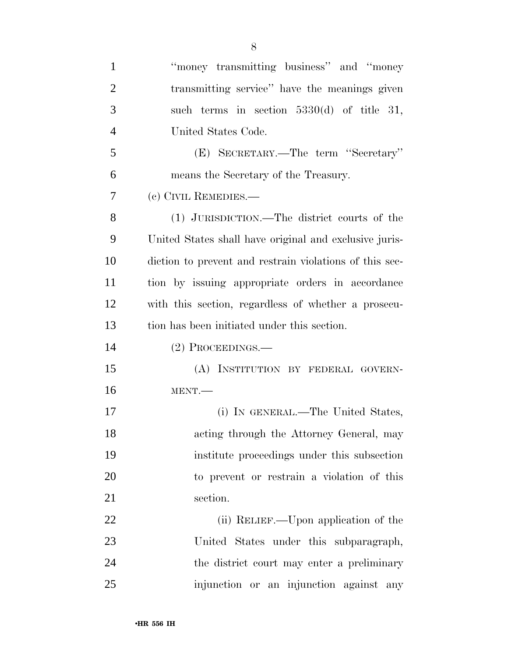| 1              | "money transmitting business" and "money"               |
|----------------|---------------------------------------------------------|
| $\overline{2}$ | transmitting service" have the meanings given           |
| 3              | such terms in section $5330(d)$ of title 31,            |
| $\overline{4}$ | United States Code.                                     |
| 5              | (E) SECRETARY.—The term "Secretary"                     |
| 6              | means the Secretary of the Treasury.                    |
| 7              | (c) CIVIL REMEDIES.—                                    |
| 8              | (1) JURISDICTION.—The district courts of the            |
| 9              | United States shall have original and exclusive juris-  |
| 10             | diction to prevent and restrain violations of this sec- |
| 11             | tion by issuing appropriate orders in accordance        |
| 12             | with this section, regardless of whether a prosecu-     |
| 13             | tion has been initiated under this section.             |
| 14             | $(2)$ Proceedings.—                                     |
| 15             | (A) INSTITUTION BY FEDERAL GOVERN-                      |
| 16             | MENT.                                                   |
| 17             | (i) IN GENERAL.—The United States,                      |
| 18             | acting through the Attorney General, may                |
| 19             | institute proceedings under this subsection             |
| 20             | to prevent or restrain a violation of this              |
| 21             | section.                                                |
| 22             | (ii) RELIEF.—Upon application of the                    |
| 23             | United States under this subparagraph,                  |
| 24             | the district court may enter a preliminary              |
| 25             | injunction or an injunction against any                 |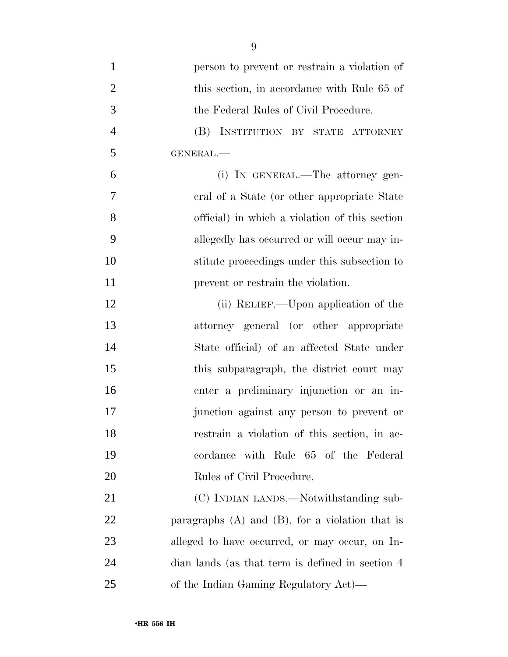- person to prevent or restrain a violation of 2 this section, in accordance with Rule 65 of the Federal Rules of Civil Procedure. (B) INSTITUTION BY STATE ATTORNEY GENERAL.— (i) IN GENERAL.—The attorney gen- eral of a State (or other appropriate State official) in which a violation of this section allegedly has occurred or will occur may in- stitute proceedings under this subsection to **prevent or restrain the violation.** 12 (ii) RELIEF.—Upon application of the attorney general (or other appropriate State official) of an affected State under 15 this subparagraph, the district court may enter a preliminary injunction or an in- junction against any person to prevent or restrain a violation of this section, in ac- cordance with Rule 65 of the Federal Rules of Civil Procedure. 21 (C) INDIAN LANDS.—Notwithstanding sub- paragraphs (A) and (B), for a violation that is alleged to have occurred, or may occur, on In-dian lands (as that term is defined in section 4
- of the Indian Gaming Regulatory Act)—

#### •**HR 556 IH**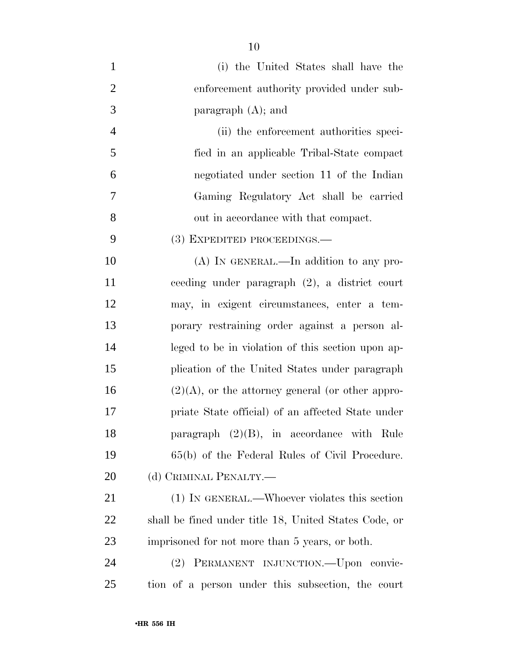(i) the United States shall have the 2 enforcement authority provided under sub- paragraph (A); and (ii) the enforcement authorities speci- fied in an applicable Tribal-State compact negotiated under section 11 of the Indian Gaming Regulatory Act shall be carried out in accordance with that compact. (3) EXPEDITED PROCEEDINGS.— 10 (A) IN GENERAL.—In addition to any pro- ceeding under paragraph (2), a district court may, in exigent circumstances, enter a tem- porary restraining order against a person al- leged to be in violation of this section upon ap- plication of the United States under paragraph  $(2)(A)$ , or the attorney general (or other appro- priate State official) of an affected State under paragraph (2)(B), in accordance with Rule 65(b) of the Federal Rules of Civil Procedure. 20 (d) CRIMINAL PENALTY.— (1) IN GENERAL.—Whoever violates this section shall be fined under title 18, United States Code, or imprisoned for not more than 5 years, or both.

 (2) PERMANENT INJUNCTION.—Upon convic-tion of a person under this subsection, the court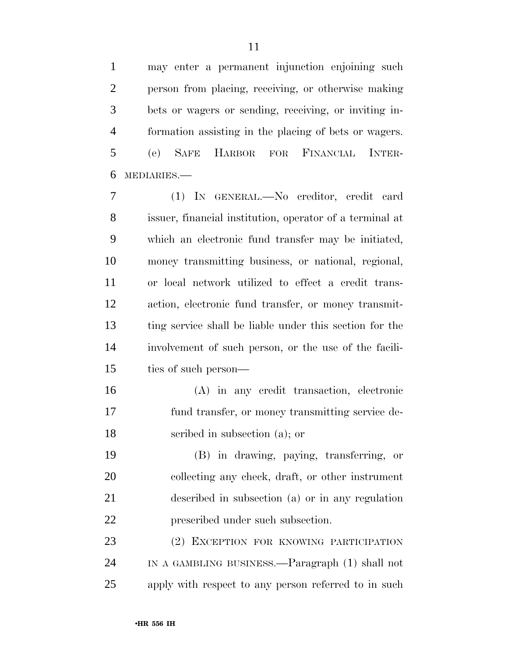may enter a permanent injunction enjoining such

 person from placing, receiving, or otherwise making bets or wagers or sending, receiving, or inviting in- formation assisting in the placing of bets or wagers. (e) SAFE HARBOR FOR FINANCIAL INTER-MEDIARIES.—

 (1) IN GENERAL.—No creditor, credit card issuer, financial institution, operator of a terminal at which an electronic fund transfer may be initiated, money transmitting business, or national, regional, or local network utilized to effect a credit trans- action, electronic fund transfer, or money transmit- ting service shall be liable under this section for the involvement of such person, or the use of the facili-ties of such person—

 (A) in any credit transaction, electronic fund transfer, or money transmitting service de-scribed in subsection (a); or

 (B) in drawing, paying, transferring, or collecting any check, draft, or other instrument described in subsection (a) or in any regulation prescribed under such subsection.

 (2) EXCEPTION FOR KNOWING PARTICIPATION IN A GAMBLING BUSINESS.—Paragraph (1) shall not apply with respect to any person referred to in such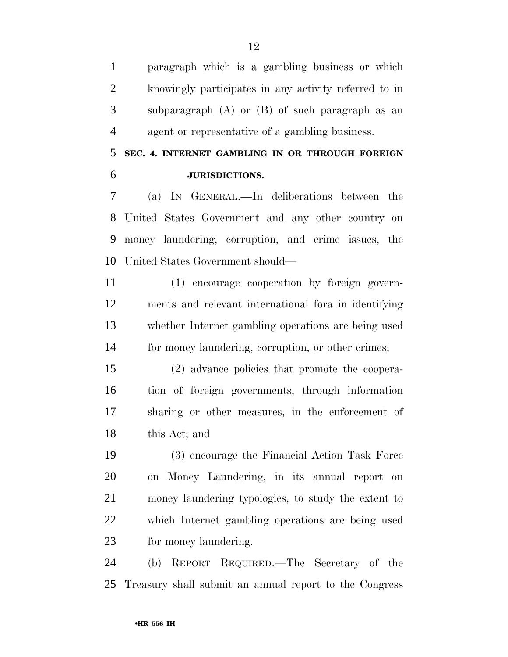paragraph which is a gambling business or which knowingly participates in any activity referred to in subparagraph (A) or (B) of such paragraph as an agent or representative of a gambling business.

## **SEC. 4. INTERNET GAMBLING IN OR THROUGH FOREIGN JURISDICTIONS.**

 (a) IN GENERAL.—In deliberations between the United States Government and any other country on money laundering, corruption, and crime issues, the United States Government should—

 (1) encourage cooperation by foreign govern- ments and relevant international fora in identifying whether Internet gambling operations are being used for money laundering, corruption, or other crimes;

 (2) advance policies that promote the coopera- tion of foreign governments, through information sharing or other measures, in the enforcement of this Act; and

 (3) encourage the Financial Action Task Force on Money Laundering, in its annual report on money laundering typologies, to study the extent to which Internet gambling operations are being used for money laundering.

 (b) REPORT REQUIRED.—The Secretary of the Treasury shall submit an annual report to the Congress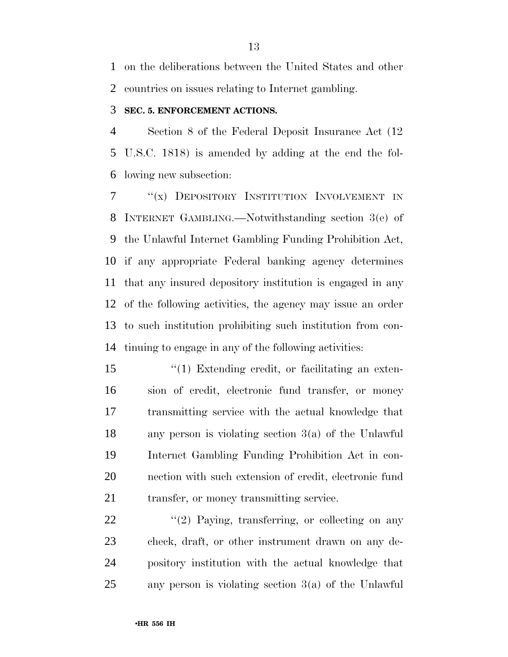on the deliberations between the United States and other countries on issues relating to Internet gambling.

### **SEC. 5. ENFORCEMENT ACTIONS.**

 Section 8 of the Federal Deposit Insurance Act (12 U.S.C. 1818) is amended by adding at the end the fol-lowing new subsection:

7 "(x) DEPOSITORY INSTITUTION INVOLVEMENT IN INTERNET GAMBLING.—Notwithstanding section 3(e) of the Unlawful Internet Gambling Funding Prohibition Act, if any appropriate Federal banking agency determines that any insured depository institution is engaged in any of the following activities, the agency may issue an order to such institution prohibiting such institution from con-tinuing to engage in any of the following activities:

 $\frac{1}{2}$  Extending credit, or facilitating an exten- sion of credit, electronic fund transfer, or money transmitting service with the actual knowledge that any person is violating section 3(a) of the Unlawful Internet Gambling Funding Prohibition Act in con- nection with such extension of credit, electronic fund 21 transfer, or money transmitting service.

 "(2) Paying, transferring, or collecting on any check, draft, or other instrument drawn on any de- pository institution with the actual knowledge that any person is violating section 3(a) of the Unlawful